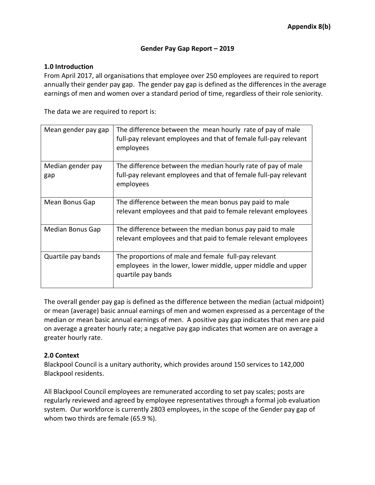## **Gender Pay Gap Report – 2019**

## **1.0 Introduction**

From April 2017, all organisations that employee over 250 employees are required to report annually their gender pay gap. The gender pay gap is defined as the differences in the average earnings of men and women over a standard period of time, regardless of their role seniority.

The data we are required to report is:

| Mean gender pay gap | The difference between the mean hourly rate of pay of male<br>full-pay relevant employees and that of female full-pay relevant<br>employees |
|---------------------|---------------------------------------------------------------------------------------------------------------------------------------------|
| Median gender pay   | The difference between the median hourly rate of pay of male                                                                                |
| gap                 | full-pay relevant employees and that of female full-pay relevant<br>employees                                                               |
| Mean Bonus Gap      | The difference between the mean bonus pay paid to male                                                                                      |
|                     | relevant employees and that paid to female relevant employees                                                                               |
| Median Bonus Gap    | The difference between the median bonus pay paid to male                                                                                    |
|                     | relevant employees and that paid to female relevant employees                                                                               |
| Quartile pay bands  | The proportions of male and female full-pay relevant<br>employees in the lower, lower middle, upper middle and upper<br>quartile pay bands  |

The overall gender pay gap is defined as the difference between the median (actual midpoint) or mean (average) basic annual earnings of men and women expressed as a percentage of the median or mean basic annual earnings of men. A positive pay gap indicates that men are paid on average a greater hourly rate; a negative pay gap indicates that women are on average a greater hourly rate.

## **2.0 Context**

Blackpool Council is a unitary authority, which provides around 150 services to 142,000 Blackpool residents.

All Blackpool Council employees are remunerated according to set pay scales; posts are regularly reviewed and agreed by employee representatives through a formal job evaluation system. Our workforce is currently 2803 employees, in the scope of the Gender pay gap of whom two thirds are female (65.9 %).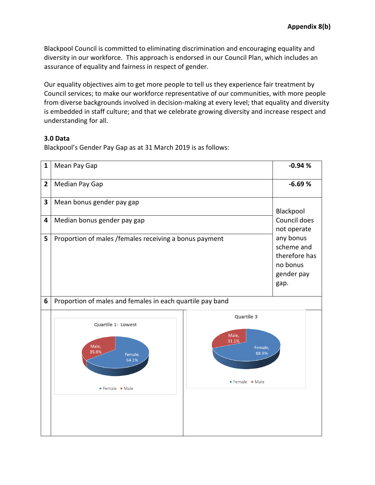Blackpool Council is committed to eliminating discrimination and encouraging equality and diversity in our workforce. This approach is endorsed in our Council Plan, which includes an assurance of equality and fairness in respect of gender.

Our equality objectives aim to get more people to tell us they experience fair treatment by Council services; to make our workforce representative of our communities, with more people from diverse backgrounds involved in decision-making at every level; that equality and diversity is embedded in staff culture; and that we celebrate growing diversity and increase respect and understanding for all.

## **3.0 Data**

Blackpool's Gender Pay Gap as at 31 March 2019 is as follows:

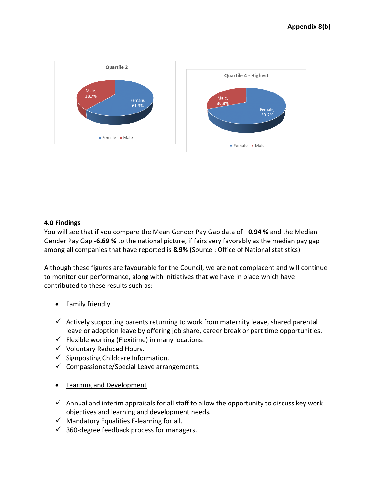

# **4.0 Findings**

You will see that if you compare the Mean Gender Pay Gap data of **–0.94 %** and the Median Gender Pay Gap **-6.69 %** to the national picture, if fairs very favorably as the median pay gap among all companies that have reported is **8.9% (**Source : Office of National statistics)

Although these figures are favourable for the Council, we are not complacent and will continue to monitor our performance, along with initiatives that we have in place which have contributed to these results such as:

- Family friendly
- $\checkmark$  Actively supporting parents returning to work from maternity leave, shared parental leave or adoption leave by offering job share, career break or part time opportunities.
- $\checkmark$  Flexible working (Flexitime) in many locations.
- $\checkmark$  Voluntary Reduced Hours.
- $\checkmark$  Signposting Childcare Information.
- $\checkmark$  Compassionate/Special Leave arrangements.
- **•** Learning and Development
- $\checkmark$  Annual and interim appraisals for all staff to allow the opportunity to discuss key work objectives and learning and development needs.
- $\checkmark$  Mandatory Equalities E-learning for all.
- $\checkmark$  360-degree feedback process for managers.